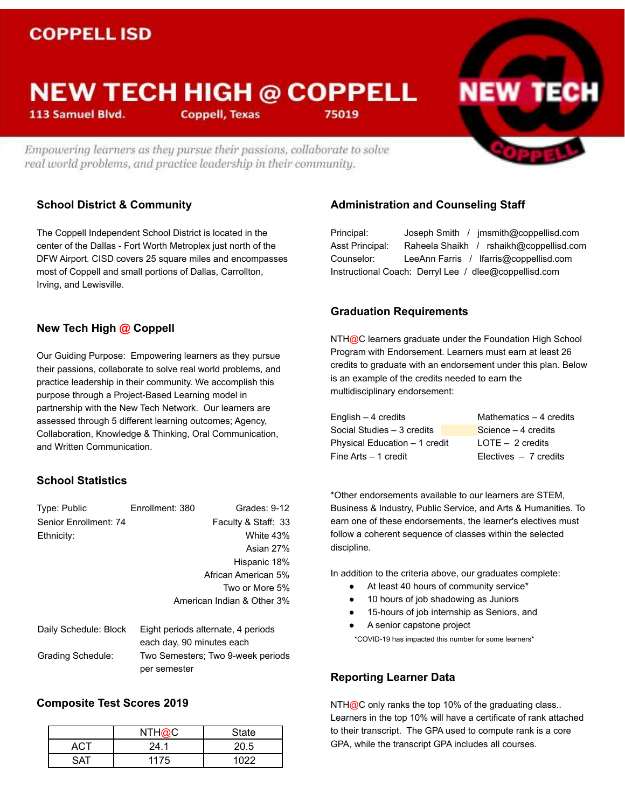# **COPPELL ISD**

# **NEW TECH HIGH @ COPPELL**

113 Samuel Blvd.

**Coppell, Texas** 

Empowering learners as they pursue their passions, collaborate to solve real world problems, and practice leadership in their community.

# **School District & Community**

The Coppell Independent School District is located in the center of the Dallas - Fort Worth Metroplex just north of the DFW Airport. CISD covers 25 square miles and encompasses most of Coppell and small portions of Dallas, Carrollton, Irving, and Lewisville.

# **New Tech High @ Coppell**

Our Guiding Purpose: Empowering learners as they pursue their passions, collaborate to solve real world problems, and practice leadership in their community. We accomplish this purpose through a Project-Based Learning model in partnership with the New Tech Network. Our learners are assessed through 5 different learning outcomes; Agency, Collaboration, Knowledge & Thinking, Oral Communication, and Written Communication.

## **School Statistics**

| Type: Public          | Enrollment: 380                   | Grades: 9-12                       |
|-----------------------|-----------------------------------|------------------------------------|
| Senior Enrollment: 74 |                                   | Faculty & Staff: 33                |
| Ethnicity:            |                                   | White 43%                          |
|                       |                                   | Asian 27%                          |
|                       |                                   | Hispanic 18%                       |
|                       |                                   | African American 5%                |
|                       |                                   | Two or More 5%                     |
|                       |                                   | American Indian & Other 3%         |
| Daily Schedule: Block |                                   | Eight periods alternate, 4 periods |
|                       | each day, 90 minutes each         |                                    |
| Grading Schedule:     | Two Semesters: Two 9-week periods |                                    |

# **Composite Test Scores 2019**

|     | NTH@C | State |
|-----|-------|-------|
| AG. | 24.1  | 20.5  |
| ־∆  | 1175  | 1022  |

per semester

## **Administration and Counseling Staff**

Principal: Joseph Smith / jmsmith@coppellisd.com Asst Principal: Raheela Shaikh / rshaikh@coppellisd.com Counselor: LeeAnn Farris / lfarris@coppellisd.com Instructional Coach: Derryl Lee / dlee@coppellisd.com

**NEW TECK** 

#### **Graduation Requirements**

75019

NTH@C learners graduate under the Foundation High School Program with Endorsement. Learners must earn at least 26 credits to graduate with an endorsement under this plan. Below is an example of the credits needed to earn the multidisciplinary endorsement:

| English $-$ 4 credits         | Mathematics - 4 credits |
|-------------------------------|-------------------------|
| Social Studies - 3 credits    | Science $-4$ credits    |
| Physical Education - 1 credit | $LOTE - 2$ credits      |
| Fine Arts - 1 credit          | Electives $-7$ credits  |

\*Other endorsements available to our learners are STEM, Business & Industry, Public Service, and Arts & Humanities. To earn one of these endorsements, the learner's electives must follow a coherent sequence of classes within the selected discipline.

In addition to the criteria above, our graduates complete:

- At least 40 hours of community service\*
- 10 hours of job shadowing as Juniors
- 15-hours of job internship as Seniors, and
- A senior capstone project \*COVID-19 has impacted this number for some learners\*

#### **Reporting Learner Data**

NTH $@C$  only ranks the top 10% of the graduating class.. Learners in the top 10% will have a certificate of rank attached to their transcript. The GPA used to compute rank is a core GPA, while the transcript GPA includes all courses.